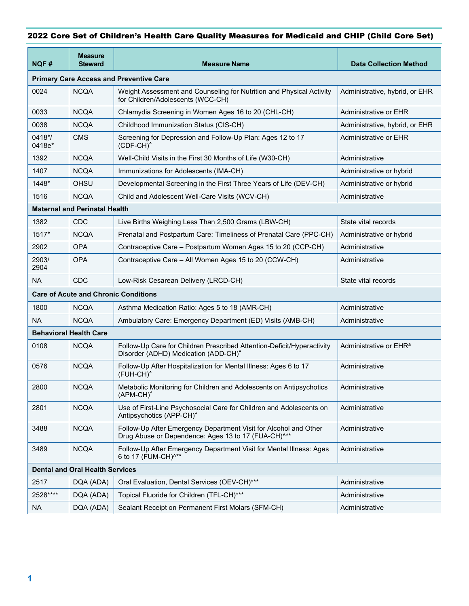## 2022 Core Set of Children's Health Care Quality Measures for Medicaid and CHIP (Child Core Set)

| NQF#                                           | <b>Measure</b><br><b>Steward</b> | <b>Measure Name</b>                                                                                                                 | <b>Data Collection Method</b>      |  |  |
|------------------------------------------------|----------------------------------|-------------------------------------------------------------------------------------------------------------------------------------|------------------------------------|--|--|
| <b>Primary Care Access and Preventive Care</b> |                                  |                                                                                                                                     |                                    |  |  |
| 0024                                           | <b>NCQA</b>                      | Weight Assessment and Counseling for Nutrition and Physical Activity<br>for Children/Adolescents (WCC-CH)                           | Administrative, hybrid, or EHR     |  |  |
| 0033                                           | <b>NCQA</b>                      | Chlamydia Screening in Women Ages 16 to 20 (CHL-CH)                                                                                 | Administrative or EHR              |  |  |
| 0038                                           | <b>NCQA</b>                      | Childhood Immunization Status (CIS-CH)                                                                                              | Administrative, hybrid, or EHR     |  |  |
| $0418*/$<br>0418e*                             | <b>CMS</b>                       | Screening for Depression and Follow-Up Plan: Ages 12 to 17<br>(CDF-CH) <sup>^</sup>                                                 | Administrative or EHR              |  |  |
| 1392                                           | <b>NCQA</b>                      | Well-Child Visits in the First 30 Months of Life (W30-CH)                                                                           | Administrative                     |  |  |
| 1407                                           | <b>NCQA</b>                      | Immunizations for Adolescents (IMA-CH)                                                                                              | Administrative or hybrid           |  |  |
| 1448*                                          | <b>OHSU</b>                      | Developmental Screening in the First Three Years of Life (DEV-CH)                                                                   | Administrative or hybrid           |  |  |
| 1516                                           | <b>NCQA</b>                      | Child and Adolescent Well-Care Visits (WCV-CH)                                                                                      | Administrative                     |  |  |
| <b>Maternal and Perinatal Health</b>           |                                  |                                                                                                                                     |                                    |  |  |
| 1382                                           | <b>CDC</b>                       | Live Births Weighing Less Than 2,500 Grams (LBW-CH)                                                                                 | State vital records                |  |  |
| $1517*$                                        | <b>NCQA</b>                      | Prenatal and Postpartum Care: Timeliness of Prenatal Care (PPC-CH)                                                                  | Administrative or hybrid           |  |  |
| 2902                                           | <b>OPA</b>                       | Contraceptive Care - Postpartum Women Ages 15 to 20 (CCP-CH)                                                                        | Administrative                     |  |  |
| 2903/<br>2904                                  | <b>OPA</b>                       | Contraceptive Care – All Women Ages 15 to 20 (CCW-CH)                                                                               | Administrative                     |  |  |
| <b>NA</b>                                      | <b>CDC</b>                       | Low-Risk Cesarean Delivery (LRCD-CH)                                                                                                | State vital records                |  |  |
| <b>Care of Acute and Chronic Conditions</b>    |                                  |                                                                                                                                     |                                    |  |  |
| 1800                                           | <b>NCQA</b>                      | Asthma Medication Ratio: Ages 5 to 18 (AMR-CH)                                                                                      | Administrative                     |  |  |
| <b>NA</b>                                      | <b>NCQA</b>                      | Ambulatory Care: Emergency Department (ED) Visits (AMB-CH)                                                                          | Administrative                     |  |  |
| <b>Behavioral Health Care</b>                  |                                  |                                                                                                                                     |                                    |  |  |
| 0108                                           | <b>NCOA</b>                      | Follow-Up Care for Children Prescribed Attention-Deficit/Hyperactivity<br>Disorder (ADHD) Medication (ADD-CH) <sup>^</sup>          | Administrative or EHR <sup>a</sup> |  |  |
| 0576                                           | <b>NCQA</b>                      | Follow-Up After Hospitalization for Mental Illness: Ages 6 to 17<br>(FUH-CH) <sup>^</sup>                                           | Administrative                     |  |  |
| 2800                                           | <b>NCQA</b>                      | Metabolic Monitoring for Children and Adolescents on Antipsychotics<br>$(APM-CH)^*$                                                 | Administrative                     |  |  |
| 2801                                           | <b>NCQA</b>                      | Use of First-Line Psychosocial Care for Children and Adolescents on<br>Antipsychotics (APP-CH) <sup>^</sup>                         | Administrative                     |  |  |
| 3488                                           | <b>NCQA</b>                      | Follow-Up After Emergency Department Visit for Alcohol and Other<br>Drug Abuse or Dependence: Ages 13 to 17 (FUA-CH) <sup>^**</sup> | Administrative                     |  |  |
| 3489                                           | <b>NCQA</b>                      | Follow-Up After Emergency Department Visit for Mental Illness: Ages<br>6 to 17 (FUM-CH)^**                                          | Administrative                     |  |  |
| <b>Dental and Oral Health Services</b>         |                                  |                                                                                                                                     |                                    |  |  |
| 2517                                           | DQA (ADA)                        | Oral Evaluation, Dental Services (OEV-CH)***                                                                                        | Administrative                     |  |  |
| 2528****                                       | DQA (ADA)                        | Topical Fluoride for Children (TFL-CH)***                                                                                           | Administrative                     |  |  |
| <b>NA</b>                                      | DQA (ADA)                        | Sealant Receipt on Permanent First Molars (SFM-CH)                                                                                  | Administrative                     |  |  |